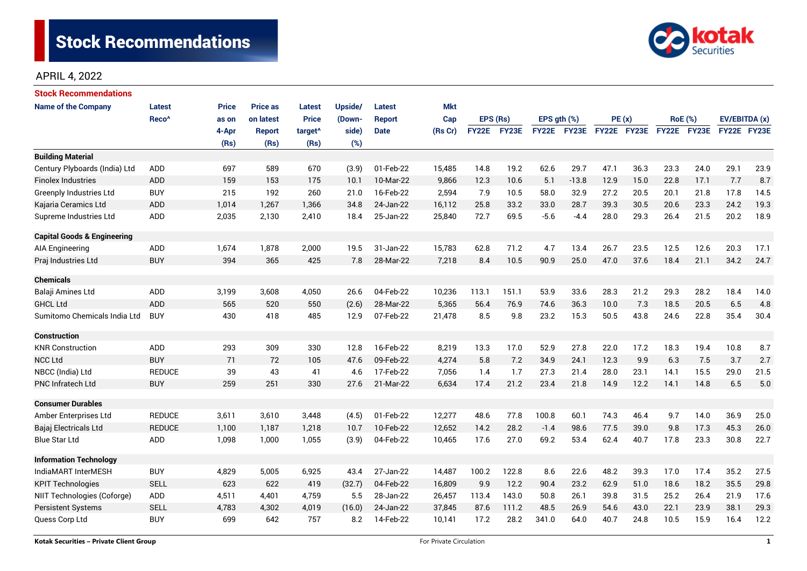

# APRIL 4, 2022

| Stock Recommendations                  |                   |              |                 |                     |         |               |            |              |       |             |         |             |      |                |      |               |      |
|----------------------------------------|-------------------|--------------|-----------------|---------------------|---------|---------------|------------|--------------|-------|-------------|---------|-------------|------|----------------|------|---------------|------|
| <b>Name of the Company</b>             | Latest            | <b>Price</b> | <b>Price as</b> | <b>Latest</b>       | Upside/ | <b>Latest</b> | <b>Mkt</b> |              |       |             |         |             |      |                |      |               |      |
|                                        | Reco <sup>^</sup> | as on        | on latest       | <b>Price</b>        | (Down-  | <b>Report</b> | Cap        | EPS (Rs)     |       | EPS gth (%) |         | PE(x)       |      | <b>RoE</b> (%) |      | EV/EBITDA (x) |      |
|                                        |                   | 4-Apr        | <b>Report</b>   | target <sup>^</sup> | side)   | <b>Date</b>   | (Rs Cr)    | <b>FY22E</b> | FY23E | FY22E FY23E |         | FY22E FY23E |      | FY22E FY23E    |      | FY22E FY23E   |      |
|                                        |                   | (Rs)         | (Rs)            | (Rs)                | (%)     |               |            |              |       |             |         |             |      |                |      |               |      |
| <b>Building Material</b>               |                   |              |                 |                     |         |               |            |              |       |             |         |             |      |                |      |               |      |
| Century Plyboards (India) Ltd          | <b>ADD</b>        | 697          | 589             | 670                 | (3.9)   | 01-Feb-22     | 15,485     | 14.8         | 19.2  | 62.6        | 29.7    | 47.1        | 36.3 | 23.3           | 24.0 | 29.1          | 23.9 |
| <b>Finolex Industries</b>              | ADD               | 159          | 153             | 175                 | 10.1    | 10-Mar-22     | 9,866      | 12.3         | 10.6  | 5.1         | $-13.8$ | 12.9        | 15.0 | 22.8           | 17.1 | 7.7           | 8.7  |
| Greenply Industries Ltd                | <b>BUY</b>        | 215          | 192             | 260                 | 21.0    | 16-Feb-22     | 2,594      | 7.9          | 10.5  | 58.0        | 32.9    | 27.2        | 20.5 | 20.1           | 21.8 | 17.8          | 14.5 |
| Kajaria Ceramics Ltd                   | <b>ADD</b>        | 1,014        | 1,267           | 1,366               | 34.8    | 24-Jan-22     | 16,112     | 25.8         | 33.2  | 33.0        | 28.7    | 39.3        | 30.5 | 20.6           | 23.3 | 24.2          | 19.3 |
| Supreme Industries Ltd                 | <b>ADD</b>        | 2,035        | 2,130           | 2,410               | 18.4    | 25-Jan-22     | 25,840     | 72.7         | 69.5  | $-5.6$      | $-4.4$  | 28.0        | 29.3 | 26.4           | 21.5 | 20.2          | 18.9 |
| <b>Capital Goods &amp; Engineering</b> |                   |              |                 |                     |         |               |            |              |       |             |         |             |      |                |      |               |      |
| AIA Engineering                        | ADD               | 1,674        | 1,878           | 2,000               | 19.5    | 31-Jan-22     | 15,783     | 62.8         | 71.2  | 4.7         | 13.4    | 26.7        | 23.5 | 12.5           | 12.6 | 20.3          | 17.1 |
| Praj Industries Ltd                    | <b>BUY</b>        | 394          | 365             | 425                 | 7.8     | 28-Mar-22     | 7,218      | 8.4          | 10.5  | 90.9        | 25.0    | 47.0        | 37.6 | 18.4           | 21.1 | 34.2          | 24.7 |
|                                        |                   |              |                 |                     |         |               |            |              |       |             |         |             |      |                |      |               |      |
| <b>Chemicals</b>                       |                   |              |                 |                     |         |               |            |              |       |             |         |             |      |                |      |               |      |
| Balaji Amines Ltd                      | ADD               | 3,199        | 3,608           | 4,050               | 26.6    | 04-Feb-22     | 10,236     | 113.1        | 151.1 | 53.9        | 33.6    | 28.3        | 21.2 | 29.3           | 28.2 | 18.4          | 14.0 |
| <b>GHCL Ltd</b>                        | <b>ADD</b>        | 565          | 520             | 550                 | (2.6)   | 28-Mar-22     | 5,365      | 56.4         | 76.9  | 74.6        | 36.3    | 10.0        | 7.3  | 18.5           | 20.5 | 6.5           | 4.8  |
| Sumitomo Chemicals India Ltd           | <b>BUY</b>        | 430          | 418             | 485                 | 12.9    | 07-Feb-22     | 21,478     | 8.5          | 9.8   | 23.2        | 15.3    | 50.5        | 43.8 | 24.6           | 22.8 | 35.4          | 30.4 |
| <b>Construction</b>                    |                   |              |                 |                     |         |               |            |              |       |             |         |             |      |                |      |               |      |
| <b>KNR Construction</b>                | <b>ADD</b>        | 293          | 309             | 330                 | 12.8    | 16-Feb-22     | 8,219      | 13.3         | 17.0  | 52.9        | 27.8    | 22.0        | 17.2 | 18.3           | 19.4 | 10.8          | 8.7  |
| <b>NCC Ltd</b>                         | <b>BUY</b>        | 71           | 72              | 105                 | 47.6    | 09-Feb-22     | 4,274      | 5.8          | 7.2   | 34.9        | 24.1    | 12.3        | 9.9  | 6.3            | 7.5  | 3.7           | 2.7  |
| NBCC (India) Ltd                       | <b>REDUCE</b>     | 39           | 43              | 41                  | 4.6     | 17-Feb-22     | 7,056      | 1.4          | 1.7   | 27.3        | 21.4    | 28.0        | 23.1 | 14.1           | 15.5 | 29.0          | 21.5 |
| <b>PNC Infratech Ltd</b>               | <b>BUY</b>        | 259          | 251             | 330                 | 27.6    | 21-Mar-22     | 6,634      | 17.4         | 21.2  | 23.4        | 21.8    | 14.9        | 12.2 | 14.1           | 14.8 | 6.5           | 5.0  |
| <b>Consumer Durables</b>               |                   |              |                 |                     |         |               |            |              |       |             |         |             |      |                |      |               |      |
| Amber Enterprises Ltd                  | <b>REDUCE</b>     | 3,611        | 3,610           | 3,448               | (4.5)   | 01-Feb-22     | 12,277     | 48.6         | 77.8  | 100.8       | 60.1    | 74.3        | 46.4 | 9.7            | 14.0 | 36.9          | 25.0 |
| Bajaj Electricals Ltd                  | <b>REDUCE</b>     | 1,100        | 1,187           | 1,218               | 10.7    | 10-Feb-22     | 12,652     | 14.2         | 28.2  | $-1.4$      | 98.6    | 77.5        | 39.0 | 9.8            | 17.3 | 45.3          | 26.0 |
| Blue Star Ltd                          | <b>ADD</b>        | 1,098        | 1,000           | 1,055               | (3.9)   | 04-Feb-22     | 10,465     | 17.6         | 27.0  | 69.2        | 53.4    | 62.4        | 40.7 | 17.8           | 23.3 | 30.8          | 22.7 |
| <b>Information Technology</b>          |                   |              |                 |                     |         |               |            |              |       |             |         |             |      |                |      |               |      |
| IndiaMART InterMESH                    | <b>BUY</b>        | 4,829        | 5,005           | 6,925               | 43.4    | 27-Jan-22     | 14,487     | 100.2        | 122.8 | 8.6         | 22.6    | 48.2        | 39.3 | 17.0           | 17.4 | 35.2          | 27.5 |
| <b>KPIT Technologies</b>               | <b>SELL</b>       | 623          | 622             | 419                 | (32.7)  | 04-Feb-22     | 16,809     | 9.9          | 12.2  | 90.4        | 23.2    | 62.9        | 51.0 | 18.6           | 18.2 | 35.5          | 29.8 |
| NIIT Technologies (Coforge)            | ADD               | 4,511        | 4,401           | 4,759               | 5.5     | 28-Jan-22     | 26,457     | 113.4        | 143.0 | 50.8        | 26.1    | 39.8        | 31.5 | 25.2           | 26.4 | 21.9          | 17.6 |
| <b>Persistent Systems</b>              | <b>SELL</b>       | 4,783        | 4,302           | 4,019               | (16.0)  | 24-Jan-22     | 37,845     | 87.6         | 111.2 | 48.5        | 26.9    | 54.6        | 43.0 | 22.1           | 23.9 | 38.1          | 29.3 |
| Quess Corp Ltd                         | <b>BUY</b>        | 699          | 642             | 757                 | 8.2     | 14-Feb-22     | 10,141     | 17.2         | 28.2  | 341.0       | 64.0    | 40.7        | 24.8 | 10.5           | 15.9 | 16.4          | 12.2 |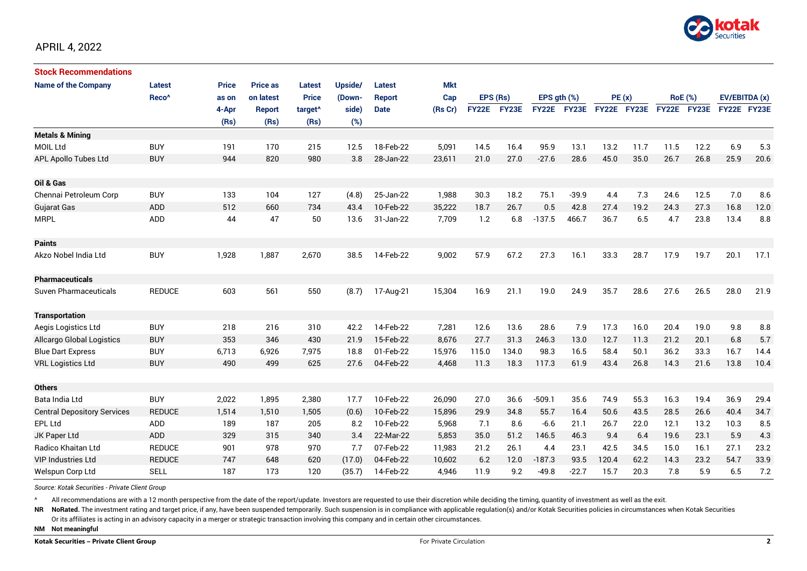

| <b>Stock Recommendations</b>       |                   |              |                 |                     |         |               |            |          |             |                  |             |             |      |                |             |               |      |
|------------------------------------|-------------------|--------------|-----------------|---------------------|---------|---------------|------------|----------|-------------|------------------|-------------|-------------|------|----------------|-------------|---------------|------|
| <b>Name of the Company</b>         | Latest            | <b>Price</b> | <b>Price as</b> | Latest              | Upside/ | Latest        | <b>Mkt</b> |          |             |                  |             |             |      |                |             |               |      |
|                                    | Reco <sup>^</sup> | as on        | on latest       | <b>Price</b>        | (Down-  | <b>Report</b> | Cap        | EPS (Rs) |             | EPS $qth$ $(\%)$ |             | PE(x)       |      | <b>RoE</b> (%) |             | EV/EBITDA (x) |      |
|                                    |                   | 4-Apr        | Report          | target <sup>^</sup> | side)   | <b>Date</b>   | (Rs Cr)    |          | FY22E FY23E |                  | FY22E FY23E | FY22E FY23E |      |                | FY22E FY23E | FY22E FY23E   |      |
|                                    |                   | (Rs)         | (Rs)            | (Rs)                | (%)     |               |            |          |             |                  |             |             |      |                |             |               |      |
| <b>Metals &amp; Mining</b>         |                   |              |                 |                     |         |               |            |          |             |                  |             |             |      |                |             |               |      |
| <b>MOIL Ltd</b>                    | <b>BUY</b>        | 191          | 170             | 215                 | 12.5    | 18-Feb-22     | 5,091      | 14.5     | 16.4        | 95.9             | 13.1        | 13.2        | 11.7 | 11.5           | 12.2        | 6.9           | 5.3  |
| APL Apollo Tubes Ltd               | <b>BUY</b>        | 944          | 820             | 980                 | 3.8     | 28-Jan-22     | 23,611     | 21.0     | 27.0        | $-27.6$          | 28.6        | 45.0        | 35.0 | 26.7           | 26.8        | 25.9          | 20.6 |
| Oil & Gas                          |                   |              |                 |                     |         |               |            |          |             |                  |             |             |      |                |             |               |      |
| Chennai Petroleum Corp             | <b>BUY</b>        | 133          | 104             | 127                 | (4.8)   | 25-Jan-22     | 1,988      | 30.3     | 18.2        | 75.1             | $-39.9$     | 4.4         | 7.3  | 24.6           | 12.5        | 7.0           | 8.6  |
| <b>Gujarat Gas</b>                 | <b>ADD</b>        | 512          | 660             | 734                 | 43.4    | 10-Feb-22     | 35,222     | 18.7     | 26.7        | 0.5              | 42.8        | 27.4        | 19.2 | 24.3           | 27.3        | 16.8          | 12.0 |
| <b>MRPL</b>                        | <b>ADD</b>        | 44           | 47              | 50                  | 13.6    | 31-Jan-22     | 7,709      | 1.2      | 6.8         | $-137.5$         | 466.7       | 36.7        | 6.5  | 4.7            | 23.8        | 13.4          | 8.8  |
|                                    |                   |              |                 |                     |         |               |            |          |             |                  |             |             |      |                |             |               |      |
| <b>Paints</b>                      |                   |              |                 |                     |         |               |            |          |             |                  |             |             |      |                |             |               |      |
| Akzo Nobel India Ltd               | <b>BUY</b>        | 1,928        | 1,887           | 2,670               | 38.5    | 14-Feb-22     | 9,002      | 57.9     | 67.2        | 27.3             | 16.1        | 33.3        | 28.7 | 17.9           | 19.7        | 20.1          | 17.1 |
| <b>Pharmaceuticals</b>             |                   |              |                 |                     |         |               |            |          |             |                  |             |             |      |                |             |               |      |
| Suven Pharmaceuticals              | <b>REDUCE</b>     | 603          | 561             | 550                 | (8.7)   | 17-Aug-21     | 15,304     | 16.9     | 21.1        | 19.0             | 24.9        | 35.7        | 28.6 | 27.6           | 26.5        | 28.0          | 21.9 |
| <b>Transportation</b>              |                   |              |                 |                     |         |               |            |          |             |                  |             |             |      |                |             |               |      |
| Aegis Logistics Ltd                | <b>BUY</b>        | 218          | 216             | 310                 | 42.2    | 14-Feb-22     | 7,281      | 12.6     | 13.6        | 28.6             | 7.9         | 17.3        | 16.0 | 20.4           | 19.0        | 9.8           | 8.8  |
| <b>Allcargo Global Logistics</b>   | <b>BUY</b>        | 353          | 346             | 430                 | 21.9    | 15-Feb-22     | 8.676      | 27.7     | 31.3        | 246.3            | 13.0        | 12.7        | 11.3 | 21.2           | 20.1        | 6.8           | 5.7  |
| <b>Blue Dart Express</b>           | <b>BUY</b>        | 6,713        | 6,926           | 7,975               | 18.8    | 01-Feb-22     | 15,976     | 115.0    | 134.0       | 98.3             | 16.5        | 58.4        | 50.1 | 36.2           | 33.3        | 16.7          | 14.4 |
| <b>VRL Logistics Ltd</b>           | <b>BUY</b>        | 490          | 499             | 625                 | 27.6    | 04-Feb-22     | 4,468      | 11.3     | 18.3        | 117.3            | 61.9        | 43.4        | 26.8 | 14.3           | 21.6        | 13.8          | 10.4 |
| <b>Others</b>                      |                   |              |                 |                     |         |               |            |          |             |                  |             |             |      |                |             |               |      |
| Bata India Ltd                     | <b>BUY</b>        | 2,022        | 1,895           | 2,380               | 17.7    | 10-Feb-22     | 26,090     | 27.0     | 36.6        | $-509.1$         | 35.6        | 74.9        | 55.3 | 16.3           | 19.4        | 36.9          | 29.4 |
| <b>Central Depository Services</b> | <b>REDUCE</b>     | 1,514        | 1,510           | 1,505               | (0.6)   | 10-Feb-22     | 15,896     | 29.9     | 34.8        | 55.7             | 16.4        | 50.6        | 43.5 | 28.5           | 26.6        | 40.4          | 34.7 |
| EPL Ltd                            | <b>ADD</b>        | 189          | 187             | 205                 | 8.2     | 10-Feb-22     | 5,968      | 7.1      | 8.6         | $-6.6$           | 21.1        | 26.7        | 22.0 | 12.1           | 13.2        | 10.3          | 8.5  |
| JK Paper Ltd                       | ADD               | 329          | 315             | 340                 | 3.4     | 22-Mar-22     | 5,853      | 35.0     | 51.2        | 146.5            | 46.3        | 9.4         | 6.4  | 19.6           | 23.1        | 5.9           | 4.3  |
| Radico Khaitan Ltd                 | <b>REDUCE</b>     | 901          | 978             | 970                 | 7.7     | 07-Feb-22     | 11,983     | 21.2     | 26.1        | 4.4              | 23.1        | 42.5        | 34.5 | 15.0           | 16.1        | 27.1          | 23.2 |
| <b>VIP Industries Ltd</b>          | <b>REDUCE</b>     | 747          | 648             | 620                 | (17.0)  | 04-Feb-22     | 10,602     | 6.2      | 12.0        | $-187.3$         | 93.5        | 120.4       | 62.2 | 14.3           | 23.2        | 54.7          | 33.9 |
| Welspun Corp Ltd                   | <b>SELL</b>       | 187          | 173             | 120                 | (35.7)  | 14-Feb-22     | 4,946      | 11.9     | 9.2         | $-49.8$          | $-22.7$     | 15.7        | 20.3 | 7.8            | 5.9         | 6.5           | 7.2  |

*Source: Kotak Securities - Private Client Group*

All recommendations are with a 12 month perspective from the date of the report/update. Investors are requested to use their discretion while deciding the timing, quantity of investment as well as the exit.

NR NoRated. The investment rating and target price, if any, have been suspended temporarily. Such suspension is in compliance with applicable regulation(s) and/or Kotak Securities policies in circumstances when Kotak Secur

Or its affiliates is acting in an advisory capacity in a merger or strategic transaction involving this company and in certain other circumstances.

**NM Not meaningful**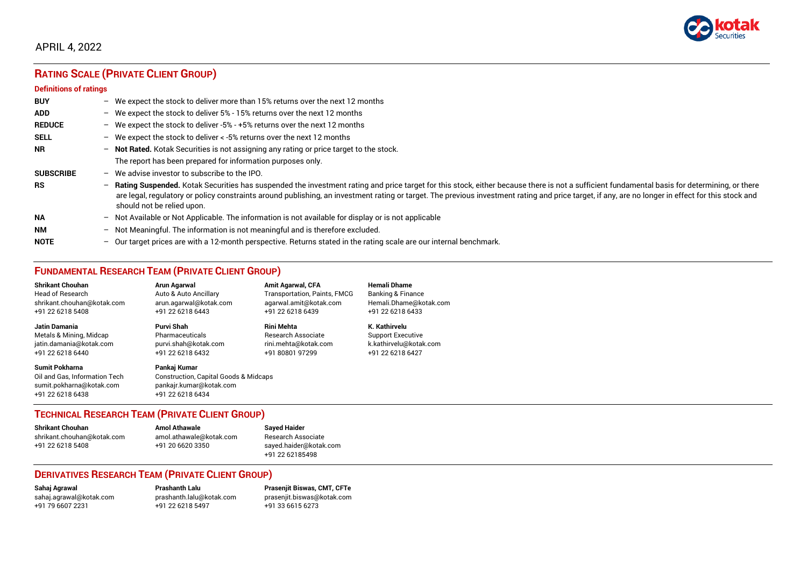

## APRIL 4, 2022

# **RATING SCALE (PRIVATE CLIENT GROUP)**

#### **Definitions of ratings**

| <b>BUY</b>       | $\overline{\phantom{0}}$ | We expect the stock to deliver more than 15% returns over the next 12 months                                                                                                                                                                                                                                                                                                                                                     |
|------------------|--------------------------|----------------------------------------------------------------------------------------------------------------------------------------------------------------------------------------------------------------------------------------------------------------------------------------------------------------------------------------------------------------------------------------------------------------------------------|
| <b>ADD</b>       |                          | - We expect the stock to deliver $5\%$ - 15% returns over the next 12 months                                                                                                                                                                                                                                                                                                                                                     |
| <b>REDUCE</b>    | $-$                      | We expect the stock to deliver -5% - +5% returns over the next 12 months                                                                                                                                                                                                                                                                                                                                                         |
| <b>SELL</b>      |                          | - We expect the stock to deliver $\lt$ -5% returns over the next 12 months                                                                                                                                                                                                                                                                                                                                                       |
| <b>NR</b>        |                          | - Not Rated. Kotak Securities is not assigning any rating or price target to the stock.                                                                                                                                                                                                                                                                                                                                          |
|                  |                          | The report has been prepared for information purposes only.                                                                                                                                                                                                                                                                                                                                                                      |
| <b>SUBSCRIBE</b> | $-$                      | We advise investor to subscribe to the IPO.                                                                                                                                                                                                                                                                                                                                                                                      |
| <b>RS</b>        | $\qquad \qquad -$        | Rating Suspended. Kotak Securities has suspended the investment rating and price target for this stock, either because there is not a sufficient fundamental basis for determining, or there<br>are legal, regulatory or policy constraints around publishing, an investment rating or target. The previous investment rating and price target, if any, are no longer in effect for this stock and<br>should not be relied upon. |
| <b>NA</b>        |                          | $-$ Not Available or Not Applicable. The information is not available for display or is not applicable                                                                                                                                                                                                                                                                                                                           |
| <b>NM</b>        |                          | - Not Meaningful. The information is not meaningful and is therefore excluded.                                                                                                                                                                                                                                                                                                                                                   |
| <b>NOTE</b>      | -                        | Our target prices are with a 12-month perspective. Returns stated in the rating scale are our internal benchmark.                                                                                                                                                                                                                                                                                                                |

## **FUNDAMENTAL RESEARCH TEAM (PRIVATE CLIENT GROUP)**

| <b>Shrikant Chouhan</b>                                                                                | <b>Arun Agarwal</b>                                                                                             | <b>Amit Agarwal, CFA</b>            | <b>Hemali Dhame</b>      |
|--------------------------------------------------------------------------------------------------------|-----------------------------------------------------------------------------------------------------------------|-------------------------------------|--------------------------|
| <b>Head of Research</b>                                                                                | Auto & Auto Ancillary                                                                                           | <b>Transportation, Paints, FMCG</b> | Banking & Finance        |
| shrikant.chouhan@kotak.com                                                                             | arun.agarwal@kotak.com                                                                                          | agarwal.amit@kotak.com              | Hemali.Dhame@kotak.com   |
| +91 22 6218 5408                                                                                       | +91 22 6218 6443                                                                                                | +91 22 6218 6439                    | +91 22 6218 6433         |
| Jatin Damania                                                                                          | Purvi Shah                                                                                                      | <b>Rini Mehta</b>                   | K. Kathirvelu            |
| Metals & Mining, Midcap                                                                                | Pharmaceuticals                                                                                                 | <b>Research Associate</b>           | <b>Support Executive</b> |
| jatin.damania@kotak.com                                                                                | purvi.shah@kotak.com                                                                                            | rini.mehta@kotak.com                | k.kathirvelu@kotak.com   |
| +91 22 6218 6440                                                                                       | +91 22 6218 6432                                                                                                | +91 80801 97299                     | +91 22 6218 6427         |
| <b>Sumit Pokharna</b><br>Oil and Gas, Information Tech<br>sumit.pokharna@kotak.com<br>+91 22 6218 6438 | Pankaj Kumar<br><b>Construction, Capital Goods &amp; Midcaps</b><br>pankajr.kumar@kotak.com<br>+91 22 6218 6434 |                                     |                          |

### **TECHNICAL RESEARCH TEAM (PRIVATE CLIENT GROUP)**

| <b>Shrikant Chouhan</b>    | <b>Amol Athawale</b>    |  |
|----------------------------|-------------------------|--|
| shrikant.chouhan@kotak.com | amol.athawale@kotak.com |  |
| +91 22 6218 5408           | +91 20 6620 3350        |  |
|                            |                         |  |

**Sayed Haider** Research Associate [sayed.haider@kotak.com](mailto:sayed.haider@kotak.com) +91 22 62185498

### **DERIVATIVES RESEARCH TEAM (PRIVATE CLIENT GROUP)**

+91 22 6218 5497 +91 33 6615 6273

**Sahaj Agrawal Prashanth Lalu Prasenjit Biswas, CMT, CFTe** [sahaj.agrawal@kotak.com](mailto:sahaj.agrawal@kotak.com) [prashanth.lalu@kotak.com](mailto:prashanth.lalu@kotak.com) [prasenjit.biswas@kotak.com](mailto:prasenjit.biswas@kotak.com)